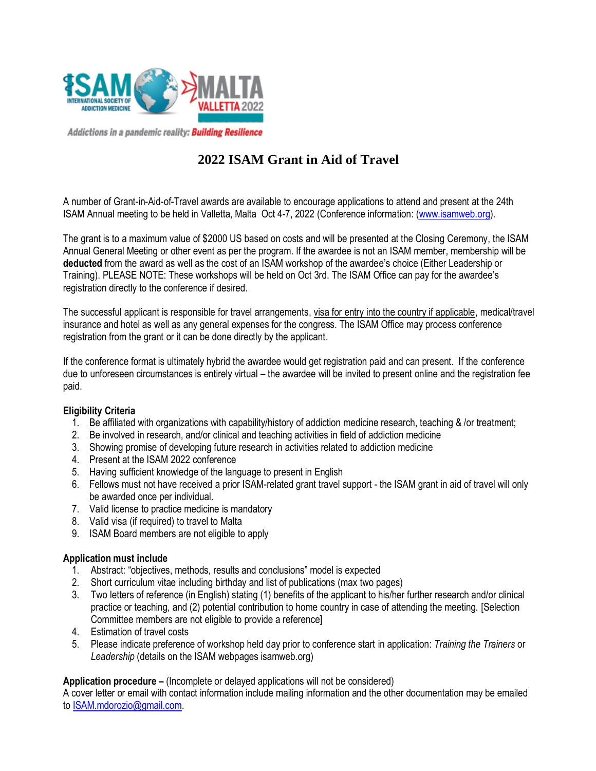

Addictions in a pandemic reality: **Building Resilience** 

# **2022 ISAM Grant in Aid of Travel**

A number of Grant-in-Aid-of-Travel awards are available to encourage applications to attend and present at the 24th ISAM Annual meeting to be held in Valletta, Malta Oct 4-7, 2022 (Conference information: [\(www.isamweb.org\)](http://www.isamweb.org/).

The grant is to a maximum value of \$2000 US based on costs and will be presented at the Closing Ceremony, the ISAM Annual General Meeting or other event as per the program. If the awardee is not an ISAM member, membership will be **deducted** from the award as well as the cost of an ISAM workshop of the awardee's choice (Either Leadership or Training). PLEASE NOTE: These workshops will be held on Oct 3rd. The ISAM Office can pay for the awardee's registration directly to the conference if desired.

The successful applicant is responsible for travel arrangements, visa for entry into the country if applicable, medical/travel insurance and hotel as well as any general expenses for the congress. The ISAM Office may process conference registration from the grant or it can be done directly by the applicant.

If the conference format is ultimately hybrid the awardee would get registration paid and can present. If the conference due to unforeseen circumstances is entirely virtual – the awardee will be invited to present online and the registration fee paid.

#### **Eligibility Criteria**

- 1. Be affiliated with organizations with capability/history of addiction medicine research, teaching & /or treatment;
- 2. Be involved in research, and/or clinical and teaching activities in field of addiction medicine
- 3. Showing promise of developing future research in activities related to addiction medicine
- 4. Present at the ISAM 2022 conference
- 5. Having sufficient knowledge of the language to present in English
- 6. Fellows must not have received a prior ISAM-related grant travel support the ISAM grant in aid of travel will only be awarded once per individual.
- 7. Valid license to practice medicine is mandatory
- 8. Valid visa (if required) to travel to Malta
- 9. ISAM Board members are not eligible to apply

### **Application must include**

- 1. Abstract: "objectives, methods, results and conclusions" model is expected
- 2. Short curriculum vitae including birthday and list of publications (max two pages)
- 3. Two letters of reference (in English) stating (1) benefits of the applicant to his/her further research and/or clinical practice or teaching, and (2) potential contribution to home country in case of attending the meeting. [Selection Committee members are not eligible to provide a reference]
- 4. Estimation of travel costs
- 5. Please indicate preference of workshop held day prior to conference start in application: *Training the Trainers* or Leadership (details on the ISAM webpages isamweb.org)

### **Application procedure –** (Incomplete or delayed applications will not be considered)

A cover letter or email with contact information include mailing information and the other documentation may be emailed to [ISAM.mdorozio@gmail.com.](mailto:ISAM.mdorozio@gmail.com)